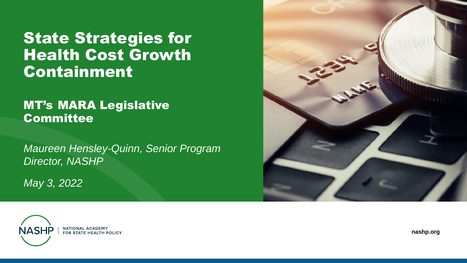#### **State Strategies for** Health Cost Growth Containment

#### MT's MARA Legislative **Committee**

*Maureen Hensley-Quinn, Senior Program Director, NASHP*

*May 3, 2022*





**nashp.org**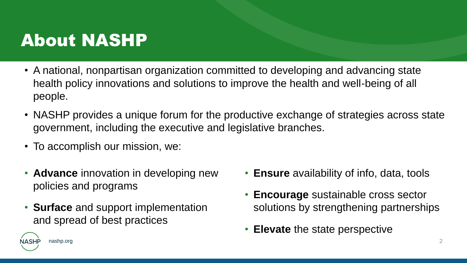#### About NASHP

- A national, nonpartisan organization committed to developing and advancing state health policy innovations and solutions to improve the health and well-being of all people.
- NASHP provides a unique forum for the productive exchange of strategies across state government, including the executive and legislative branches.
- To accomplish our mission, we:

nashp.org

- **Advance** innovation in developing new policies and programs
- **Surface** and support implementation and spread of best practices
- **Ensure** availability of info, data, tools
- **Encourage** sustainable cross sector solutions by strengthening partnerships
- **Elevate** the state perspective

2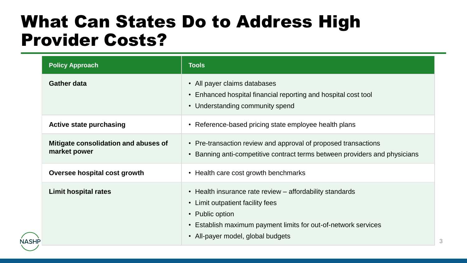#### What Can States Do to Address High Provider Costs?

| <b>Policy Approach</b>                               | <b>Tools</b>                                                                                                                                                                                                       |
|------------------------------------------------------|--------------------------------------------------------------------------------------------------------------------------------------------------------------------------------------------------------------------|
| <b>Gather data</b>                                   | • All payer claims databases<br>Enhanced hospital financial reporting and hospital cost tool<br>• Understanding community spend                                                                                    |
| <b>Active state purchasing</b>                       | • Reference-based pricing state employee health plans                                                                                                                                                              |
| Mitigate consolidation and abuses of<br>market power | • Pre-transaction review and approval of proposed transactions<br>Banning anti-competitive contract terms between providers and physicians<br>$\bullet$                                                            |
| Oversee hospital cost growth                         | • Health care cost growth benchmarks                                                                                                                                                                               |
| <b>Limit hospital rates</b>                          | • Health insurance rate review – affordability standards<br>• Limit outpatient facility fees<br>• Public option<br>Establish maximum payment limits for out-of-network services<br>All-payer model, global budgets |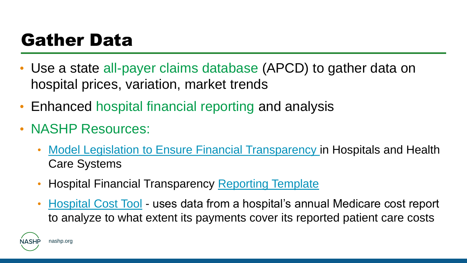### Gather Data

- Use a state all-payer claims database (APCD) to gather data on hospital prices, variation, market trends
- Enhanced hospital financial reporting and analysis
- NASHP Resources:
	- Model Legislation to [Ensure Financial Transparency i](Ensure%20Financial%20Transparency%20in%20Hospitals%20and%20Health%20Care%20Systems)n Hospitals and Health Care Systems
	- Hospital Financial Transparency [Reporting Template](Hospital%20Financial%20Transparency%20Report%20Template)
	- [Hospital Cost Tool](https://www.nashp.org/hospital-cost-tool/) uses data from a hospital's annual Medicare cost report to analyze to what extent its payments cover its reported patient care costs

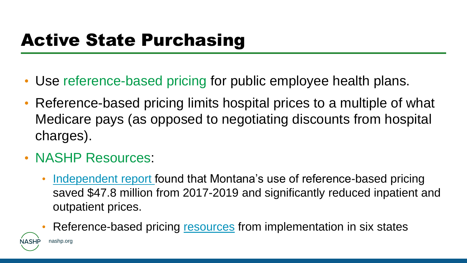### Active State Purchasing

- Use reference-based pricing for public employee health plans.
- Reference-based pricing limits hospital prices to a multiple of what Medicare pays (as opposed to negotiating discounts from hospital charges).
- NASHP Resources:
	- [Independent report f](https://www.nashp.org/new-analysis-finds-montana-has-saved-millions-by-moving-hospital-rate-negotiations-to-reference-based-pricing/)ound that Montana's use of reference-based pricing saved \$47.8 million from 2017-2019 and significantly reduced inpatient and outpatient prices.
	- Reference-based pricing [resources](https://www.nashp.org/policy/health-system-costs/state-strategy-implementation/#toggle-id-4) from implementation in six states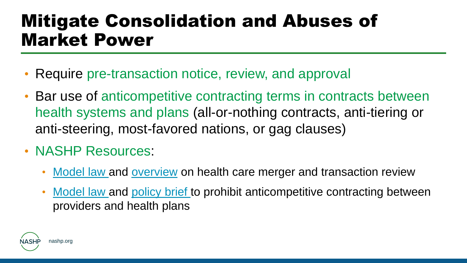## Mitigate Consolidation and Abuses of Market Power

- Require pre-transaction notice, review, and approval
- Bar use of anticompetitive contracting terms in contracts between health systems and plans (all-or-nothing contracts, anti-tiering or anti-steering, most-favored nations, or gag clauses)
- NASHP Resources:
	- [Model law a](https://www.nashp.org/a-model-act-for-state-oversight-of-proposed-health-care-mergers/)nd [overview](https://www.nashp.org/a-tool-for-states-to-address-health-care-consolidation-improved-oversight-of-health-care-provider-mergers/) on health care merger and transaction review
	- [Model law a](https://www.nashp.org/nashp-model-act-to-address-anticompetitive-terms-in-health-insurance-contracts/)nd [policy brief t](https://www.nashp.org/a-tool-for-states-to-address-health-care-consolidation-prohibiting-anticompetitive-health-plan-contracts/)o prohibit anticompetitive contracting between providers and health plans

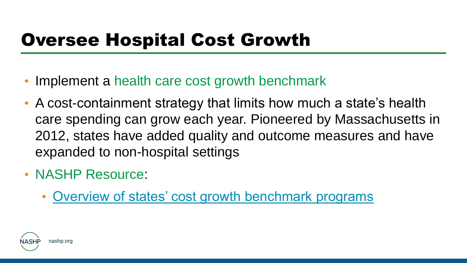# Oversee Hospital Cost Growth

- Implement a health care cost growth benchmark
- A cost-containment strategy that limits how much a state's health care spending can grow each year. Pioneered by Massachusetts in 2012, states have added quality and outcome measures and have expanded to non-hospital settings
- NASHP Resource:
	- [Overview of states' cost growth benchmark programs](https://www.nashp.org/how-states-use-cost-growth-benchmark-programs-to-contain-health-care-costs/)

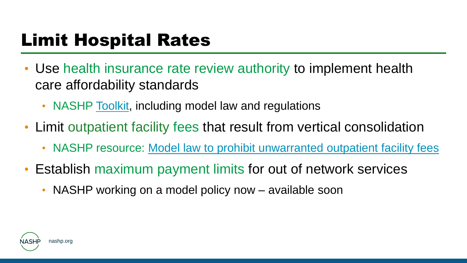# Limit Hospital Rates

- Use health insurance rate review authority to implement health care affordability standards
	- NASHP [Toolkit](https://www.nashp.org/nashp-toolkit-for-assessing-and-enacting-health-insurance-rate-review-authority-to-control-health-care-costs/), including model law and regulations
- Limit outpatient facility fees that result from vertical consolidation
	- NASHP resource: [Model law to prohibit unwarranted outpatient facility fees](https://www.nashp.org/nashp-model-state-legislation-to-prohibit-unwarranted-facility-fees/)
- Establish maximum payment limits for out of network services
	- NASHP working on a model policy now available soon

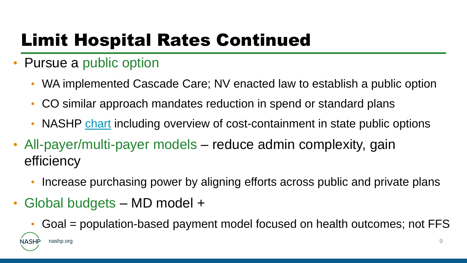# Limit Hospital Rates Continued

- Pursue a public option
	- WA implemented Cascade Care; NV enacted law to establish a public option
	- CO similar approach mandates reduction in spend or standard plans
	- NASHP [chart](https://www.nashp.org/overview-of-states-hospital-reference-based-pricing-to-medicare-initiatives/) including overview of cost-containment in state public options
- All-payer/multi-payer models reduce admin complexity, gain efficiency
	- Increase purchasing power by aligning efforts across public and private plans
- Global budgets MD model +

nashp.org

• Goal = population-based payment model focused on health outcomes; not FFS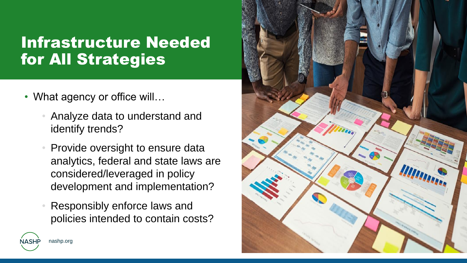#### Infrastructure Needed for All Strategies

• What agency or office will...

nashp.org

- Analyze data to understand and identify trends?
- Provide oversight to ensure data analytics, federal and state laws are considered/leveraged in policy development and implementation?
- Responsibly enforce laws and policies intended to contain costs?

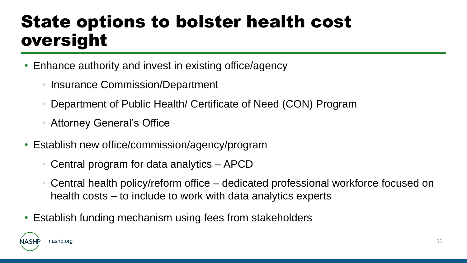### State options to bolster health cost oversight

- Enhance authority and invest in existing office/agency
	- Insurance Commission/Department
	- Department of Public Health/ Certificate of Need (CON) Program
	- Attorney General's Office
- Establish new office/commission/agency/program
	- Central program for data analytics APCD
	- Central health policy/reform office dedicated professional workforce focused on health costs – to include to work with data analytics experts
- Establish funding mechanism using fees from stakeholders